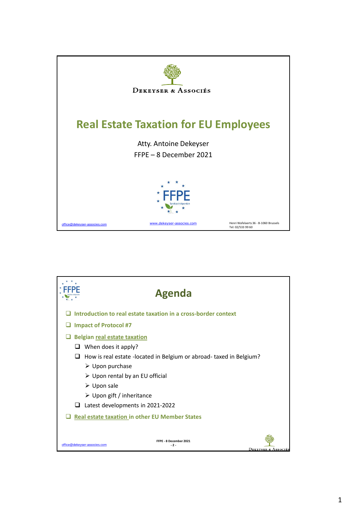

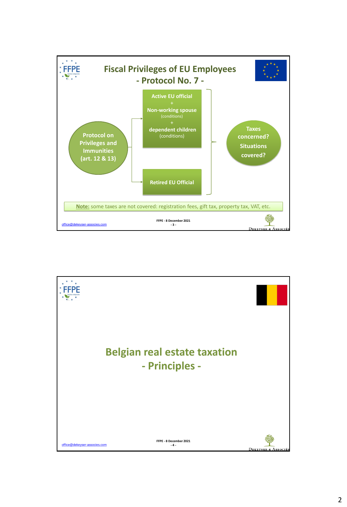

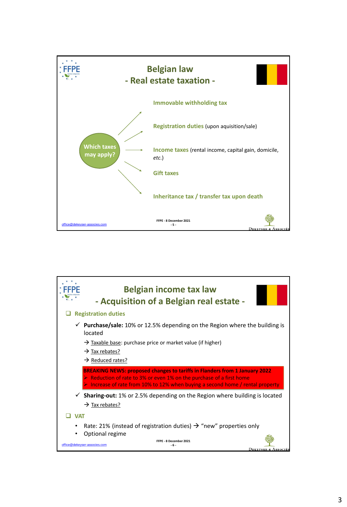

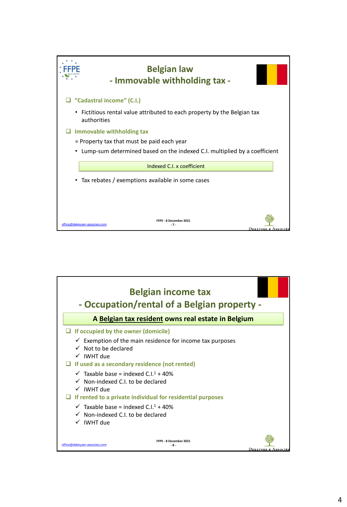

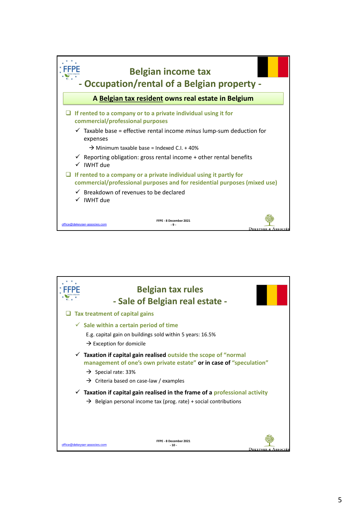

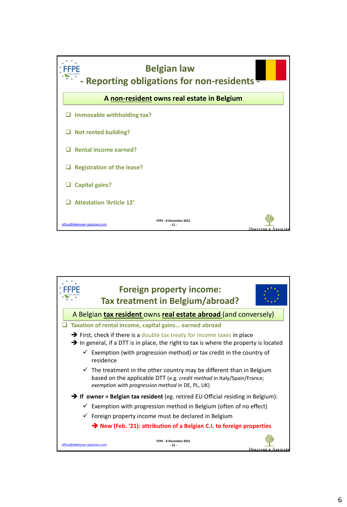

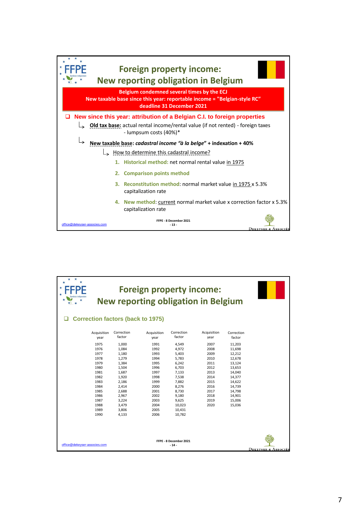

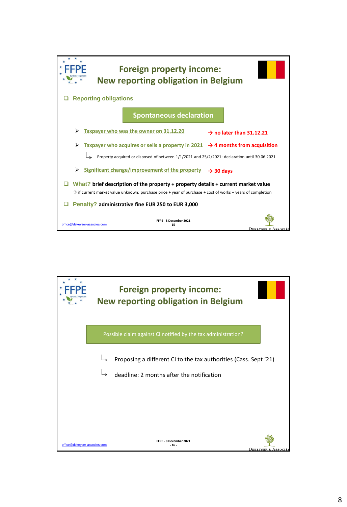

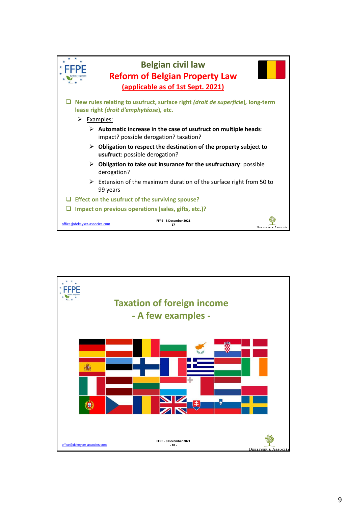

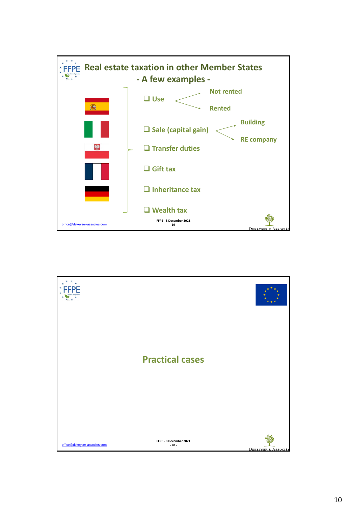

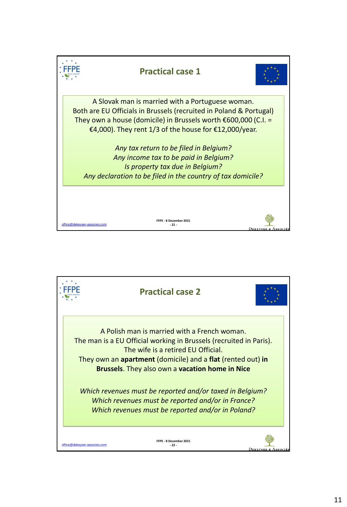